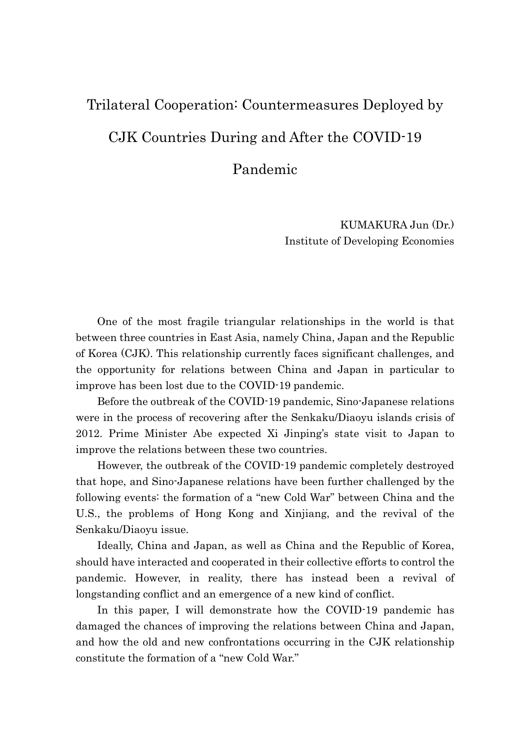# Trilateral Cooperation: Countermeasures Deployed by CJK Countries During and After the COVID-19

Pandemic

KUMAKURA Jun (Dr.) Institute of Developing Economies

One of the most fragile triangular relationships in the world is that between three countries in East Asia, namely China, Japan and the Republic of Korea (CJK). This relationship currently faces significant challenges, and the opportunity for relations between China and Japan in particular to improve has been lost due to the COVID-19 pandemic.

Before the outbreak of the COVID-19 pandemic, Sino-Japanese relations were in the process of recovering after the Senkaku/Diaoyu islands crisis of 2012. Prime Minister Abe expected Xi Jinping's state visit to Japan to improve the relations between these two countries.

However, the outbreak of the COVID-19 pandemic completely destroyed that hope, and Sino-Japanese relations have been further challenged by the following events: the formation of a "new Cold War" between China and the U.S., the problems of Hong Kong and Xinjiang, and the revival of the Senkaku/Diaoyu issue.

Ideally, China and Japan, as well as China and the Republic of Korea, should have interacted and cooperated in their collective efforts to control the pandemic. However, in reality, there has instead been a revival of longstanding conflict and an emergence of a new kind of conflict.

In this paper, I will demonstrate how the COVID-19 pandemic has damaged the chances of improving the relations between China and Japan, and how the old and new confrontations occurring in the CJK relationship constitute the formation of a "new Cold War."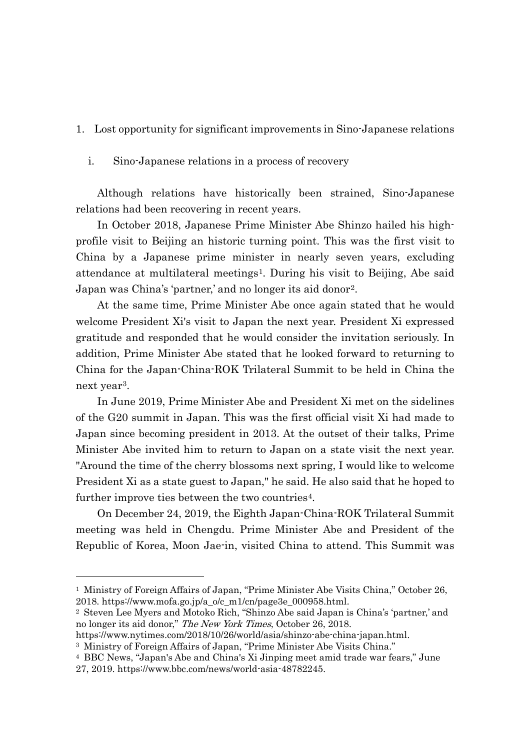## 1. Lost opportunity for significant improvements in Sino-Japanese relations

#### i. Sino-Japanese relations in a process of recovery

 Although relations have historically been strained, Sino-Japanese relations had been recovering in recent years.

In October 2018, Japanese Prime Minister Abe Shinzo hailed his highprofile visit to Beijing an historic turning point. This was the first visit to China by a Japanese prime minister in nearly seven years, excluding attendance at multilateral meetings[1.](#page-1-0) During his visit to Beijing, Abe said Japan was China's 'partner,' and no longer its aid donor[2](#page-1-1).

At the same time, Prime Minister Abe once again stated that he would welcome President Xi's visit to Japan the next year. President Xi expressed gratitude and responded that he would consider the invitation seriously. In addition, Prime Minister Abe stated that he looked forward to returning to China for the Japan-China-ROK Trilateral Summit to be held in China the next year[3](#page-1-2).

In June 2019, Prime Minister Abe and President Xi met on the sidelines of the G20 summit in Japan. This was the first official visit Xi had made to Japan since becoming president in 2013. At the outset of their talks, Prime Minister Abe invited him to return to Japan on a state visit the next year. "Around the time of the cherry blossoms next spring, I would like to welcome President Xi as a state guest to Japan," he said. He also said that he hoped to further improve ties between the two countries<sup>[4](#page-1-3)</sup>.

On December 24, 2019, the Eighth Japan-China-ROK Trilateral Summit meeting was held in Chengdu. Prime Minister Abe and President of the Republic of Korea, Moon Jae-in, visited China to attend. This Summit was

https://www.nytimes.com/2018/10/26/world/asia/shinzo-abe-china-japan.html.

<span id="page-1-0"></span><sup>1</sup> Ministry of Foreign Affairs of Japan, "Prime Minister Abe Visits China," October 26, 2018. https://www.mofa.go.jp/a\_o/c\_m1/cn/page3e\_000958.html.

<span id="page-1-1"></span><sup>2</sup> Steven Lee Myers and Motoko Rich, "Shinzo Abe said Japan is China's 'partner,' and no longer its aid donor," The New York Times, October 26, 2018.

<span id="page-1-2"></span><sup>3</sup> Ministry of Foreign Affairs of Japan, "Prime Minister Abe Visits China."

<span id="page-1-3"></span><sup>4</sup> BBC News, "Japan's Abe and China's Xi Jinping meet amid trade war fears," June 27, 2019. https://www.bbc.com/news/world-asia-48782245.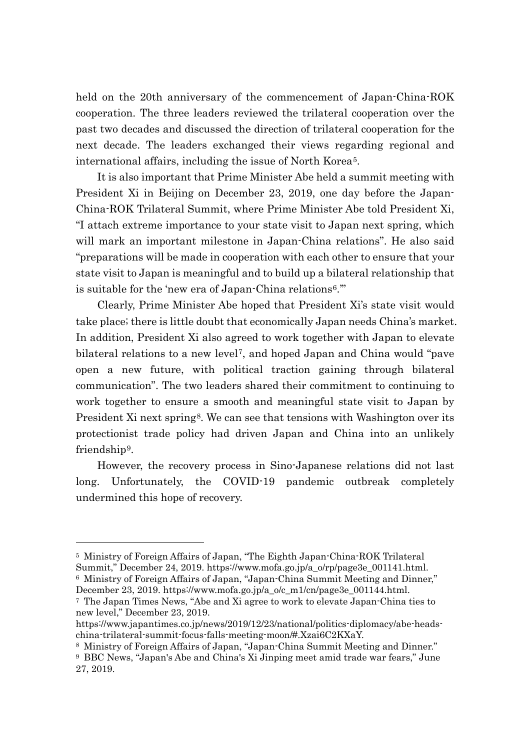held on the 20th anniversary of the commencement of Japan-China-ROK cooperation. The three leaders reviewed the trilateral cooperation over the past two decades and discussed the direction of trilateral cooperation for the next decade. The leaders exchanged their views regarding regional and international affairs, including the issue of North Korea[5.](#page-2-0)

It is also important that Prime Minister Abe held a summit meeting with President Xi in Beijing on December 23, 2019, one day before the Japan-China-ROK Trilateral Summit, where Prime Minister Abe told President Xi, "I attach extreme importance to your state visit to Japan next spring, which will mark an important milestone in Japan-China relations". He also said "preparations will be made in cooperation with each other to ensure that your state visit to Japan is meaningful and to build up a bilateral relationship that is suitable for the 'new era of Japan-China relations[6](#page-2-1).'"

Clearly, Prime Minister Abe hoped that President Xi's state visit would take place; there is little doubt that economically Japan needs China's market. In addition, President Xi also agreed to work together with Japan to elevate bilateral relations to a new level[7](#page-2-2), and hoped Japan and China would "pave open a new future, with political traction gaining through bilateral communication". The two leaders shared their commitment to continuing to work together to ensure a smooth and meaningful state visit to Japan by President Xi next spring<sup>[8](#page-2-3)</sup>. We can see that tensions with Washington over its protectionist trade policy had driven Japan and China into an unlikely friendship[9.](#page-2-4)

However, the recovery process in Sino-Japanese relations did not last long. Unfortunately, the COVID-19 pandemic outbreak completely undermined this hope of recovery.

<span id="page-2-0"></span><sup>5</sup> Ministry of Foreign Affairs of Japan, "The Eighth Japan-China-ROK Trilateral Summit," December 24, 2019. https://www.mofa.go.jp/a\_o/rp/page3e\_001141.html. <sup>6</sup> Ministry of Foreign Affairs of Japan, "Japan-China Summit Meeting and Dinner,"

<span id="page-2-1"></span>December 23, 2019. https://www.mofa.go.jp/a\_o/c\_m1/cn/page3e\_001144.html.

<span id="page-2-2"></span><sup>7</sup> The Japan Times News, "Abe and Xi agree to work to elevate Japan-China ties to new level," December 23, 2019.

https://www.japantimes.co.jp/news/2019/12/23/national/politics-diplomacy/abe-headschina-trilateral-summit-focus-falls-meeting-moon/#.Xzai6C2KXaY.

<span id="page-2-4"></span><span id="page-2-3"></span><sup>8</sup> Ministry of Foreign Affairs of Japan, "Japan-China Summit Meeting and Dinner." <sup>9</sup> BBC News, "Japan's Abe and China's Xi Jinping meet amid trade war fears," June 27, 2019.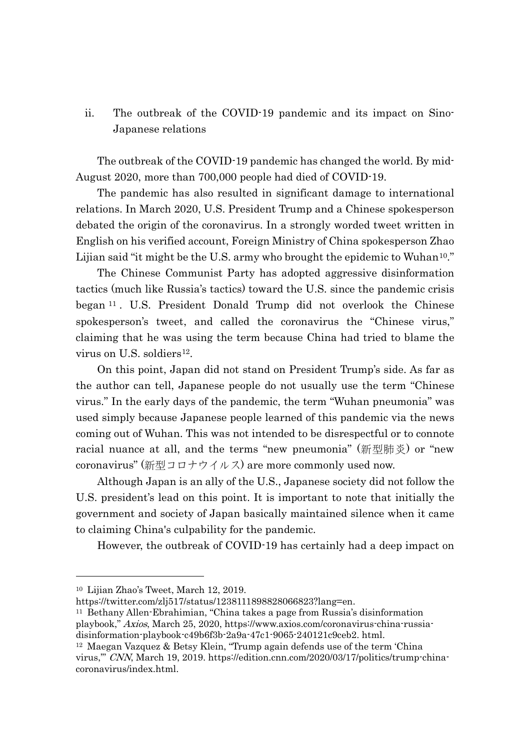ii. The outbreak of the COVID-19 pandemic and its impact on Sino-Japanese relations

 The outbreak of the COVID-19 pandemic has changed the world. By mid-August 2020, more than 700,000 people had died of COVID-19.

The pandemic has also resulted in significant damage to international relations. In March 2020, U.S. President Trump and a Chinese spokesperson debated the origin of the coronavirus. In a strongly worded tweet written in English on his verified account, Foreign Ministry of China spokesperson Zhao Lijian said "it might be the U.S. army who brought the epidemic to Wuhan<sup>10</sup>."

The Chinese Communist Party has adopted aggressive disinformation tactics (much like Russia's tactics) toward the U.S. since the pandemic crisis began [11](#page-3-1) . U.S. President Donald Trump did not overlook the Chinese spokesperson's tweet, and called the coronavirus the "Chinese virus," claiming that he was using the term because China had tried to blame the virus on U.S. soldiers<sup>[12](#page-3-2)</sup>.

 On this point, Japan did not stand on President Trump's side. As far as the author can tell, Japanese people do not usually use the term "Chinese virus." In the early days of the pandemic, the term "Wuhan pneumonia" was used simply because Japanese people learned of this pandemic via the news coming out of Wuhan. This was not intended to be disrespectful or to connote racial nuance at all, and the terms "new pneumonia" (新型肺炎) or "new coronavirus" (新型コロナウイルス) are more commonly used now.

Although Japan is an ally of the U.S., Japanese society did not follow the U.S. president's lead on this point. It is important to note that initially the government and society of Japan basically maintained silence when it came to claiming China's culpability for the pandemic.

However, the outbreak of COVID-19 has certainly had a deep impact on

<span id="page-3-0"></span><sup>10</sup> Lijian Zhao's Tweet, March 12, 2019.

<span id="page-3-1"></span>https://twitter.com/zlj517/status/1238111898828066823?lang=en.

<sup>11</sup> Bethany Allen-Ebrahimian, "China takes a page from Russia's disinformation playbook," Axios, March 25, 2020, https://www.axios.com/coronavirus-china-russiadisinformation-playbook-c49b6f3b-2a9a-47c1-9065-240121c9ceb2. html.

<span id="page-3-2"></span><sup>12</sup> Maegan Vazquez & Betsy Klein, "Trump again defends use of the term 'China virus,'" CNN, March 19, 2019. https://edition.cnn.com/2020/03/17/politics/trump-chinacoronavirus/index.html.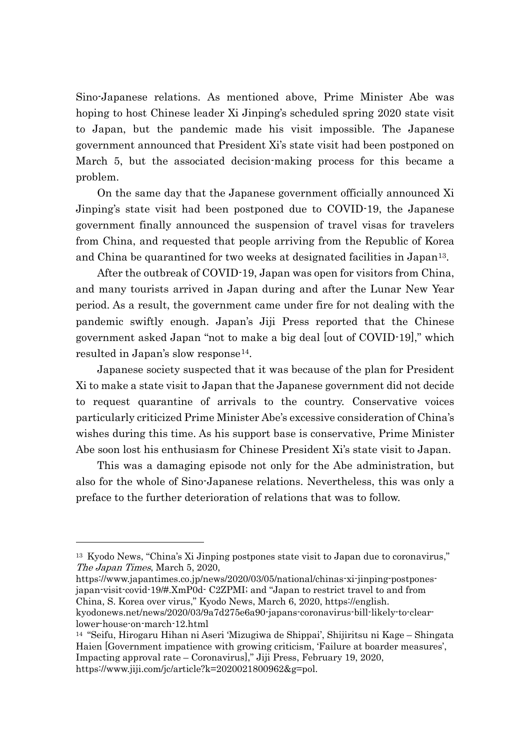Sino-Japanese relations. As mentioned above, Prime Minister Abe was hoping to host Chinese leader Xi Jinping's scheduled spring 2020 state visit to Japan, but the pandemic made his visit impossible. The Japanese government announced that President Xi's state visit had been postponed on March 5, but the associated decision-making process for this became a problem.

On the same day that the Japanese government officially announced Xi Jinping's state visit had been postponed due to COVID-19, the Japanese government finally announced the suspension of travel visas for travelers from China, and requested that people arriving from the Republic of Korea and China be quarantined for two weeks at designated facilities in Japan[13.](#page-4-0)

After the outbreak of COVID-19, Japan was open for visitors from China, and many tourists arrived in Japan during and after the Lunar New Year period. As a result, the government came under fire for not dealing with the pandemic swiftly enough. Japan's Jiji Press reported that the Chinese government asked Japan "not to make a big deal [out of COVID-19]," which resulted in Japan's slow response[14.](#page-4-1)

Japanese society suspected that it was because of the plan for President Xi to make a state visit to Japan that the Japanese government did not decide to request quarantine of arrivals to the country. Conservative voices particularly criticized Prime Minister Abe's excessive consideration of China's wishes during this time. As his support base is conservative, Prime Minister Abe soon lost his enthusiasm for Chinese President Xi's state visit to Japan.

This was a damaging episode not only for the Abe administration, but also for the whole of Sino-Japanese relations. Nevertheless, this was only a preface to the further deterioration of relations that was to follow.

https://www.japantimes.co.jp/news/2020/03/05/national/chinas-xi-jinping-postponesjapan-visit-covid-19/#.XmP0d- C2ZPMI; and "Japan to restrict travel to and from China, S. Korea over virus," Kyodo News, March 6, 2020, https://english. kyodonews.net/news/2020/03/9a7d275e6a90-japans-coronavirus-bill-likely-to-clear-

<span id="page-4-0"></span><sup>13</sup> Kyodo News, "China's Xi Jinping postpones state visit to Japan due to coronavirus," The Japan Times, March 5, 2020,

lower-house-on-march-12.html

<span id="page-4-1"></span><sup>14</sup> "Seifu, Hirogaru Hihan ni Aseri 'Mizugiwa de Shippai', Shijiritsu ni Kage – Shingata Haien [Government impatience with growing criticism, 'Failure at boarder measures', Impacting approval rate – Coronavirus]," Jiji Press, February 19, 2020, https://www.jiji.com/jc/article?k=2020021800962&g=pol.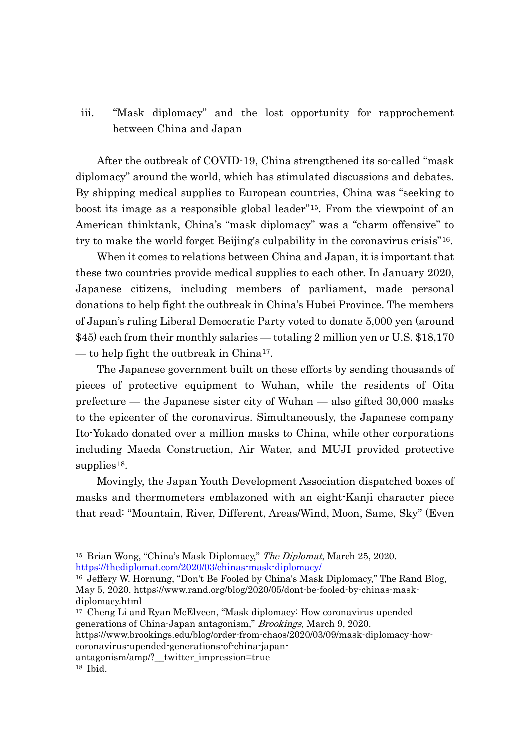iii. "Mask diplomacy" and the lost opportunity for rapprochement between China and Japan

 After the outbreak of COVID-19, China strengthened its so-called "mask diplomacy" around the world, which has stimulated discussions and debates. By shipping medical supplies to European countries, China was "seeking to boost its image as a responsible global leader"[15.](#page-5-0) From the viewpoint of an American thinktank, China's "mask diplomacy" was a "charm offensive" to try to make the world forget Beijing's culpability in the coronavirus crisis"[16](#page-5-1).

When it comes to relations between China and Japan, it is important that these two countries provide medical supplies to each other. In January 2020, Japanese citizens, including members of parliament, made personal donations to help fight the outbreak in China's Hubei Province. The members of Japan's ruling Liberal Democratic Party voted to donate 5,000 yen (around \$45) each from their monthly salaries — totaling 2 million yen or U.S. \$18,170 — to help fight the outbreak in China<sup>[17](#page-5-2)</sup>.

The Japanese government built on these efforts by sending thousands of pieces of protective equipment to Wuhan, while the residents of Oita prefecture — the Japanese sister city of Wuhan — also gifted 30,000 masks to the epicenter of the coronavirus. Simultaneously, the Japanese company Ito-Yokado donated over a million masks to China, while other corporations including Maeda Construction, Air Water, and MUJI provided protective supplies<sup>[18](#page-5-3)</sup>.

Movingly, the Japan Youth Development Association dispatched boxes of masks and thermometers emblazoned with an eight-Kanji character piece that read: "Mountain, River, Different, Areas/Wind, Moon, Same, Sky" (Even

coronavirus-upended-generations-of-china-japan-

<span id="page-5-0"></span><sup>&</sup>lt;sup>15</sup> Brian Wong, "China's Mask Diplomacy," The Diplomat, March 25, 2020. <https://thediplomat.com/2020/03/chinas-mask-diplomacy/>

<span id="page-5-1"></span><sup>16</sup> Jeffery W. Hornung, "Don't Be Fooled by China's Mask Diplomacy," The Rand Blog, May 5, 2020. https://www.rand.org/blog/2020/05/dont-be-fooled-by-chinas-maskdiplomacy.html

<span id="page-5-2"></span><sup>17</sup> Cheng Li and Ryan McElveen, "Mask diplomacy: How coronavirus upended generations of China-Japan antagonism," Brookings, March 9, 2020. https://www.brookings.edu/blog/order-from-chaos/2020/03/09/mask-diplomacy-how-

<span id="page-5-3"></span>antagonism/amp/?\_\_twitter\_impression=true <sup>18</sup> Ibid.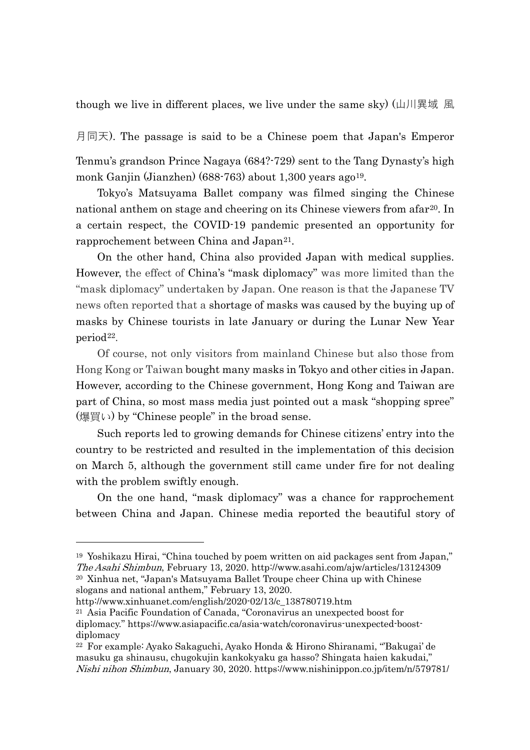though we live in different places, we live under the same sky) (山川異域 風

月同天). The passage is said to be a Chinese poem that Japan's Emperor

Tenmu's grandson Prince Nagaya (684?-729) sent to the Tang Dynasty's high monk Ganjin (Jianzhen) (688-763) about 1,300 years ago<sup>19</sup>.

Tokyo's Matsuyama Ballet company was filmed singing the Chinese national anthem on stage and cheering on its Chinese viewers from afar<sup>[20](#page-6-1)</sup>. In a certain respect, the COVID-19 pandemic presented an opportunity for rapprochement between China and Japan<sup>[21](#page-6-2)</sup>.

On the other hand, China also provided Japan with medical supplies. However, the effect of China's "mask diplomacy" was more limited than the "mask diplomacy" undertaken by Japan. One reason is that the Japanese TV news often reported that a shortage of masks was caused by the buying up of masks by Chinese tourists in late January or during the Lunar New Year period<sup>[22](#page-6-3)</sup>.

Of course, not only visitors from mainland Chinese but also those from Hong Kong or Taiwan bought many masks in Tokyo and other cities in Japan. However, according to the Chinese government, Hong Kong and Taiwan are part of China, so most mass media just pointed out a mask "shopping spree" (爆買い) by "Chinese people" in the broad sense.

Such reports led to growing demands for Chinese citizens' entry into the country to be restricted and resulted in the implementation of this decision on March 5, although the government still came under fire for not dealing with the problem swiftly enough.

On the one hand, "mask diplomacy" was a chance for rapprochement between China and Japan. Chinese media reported the beautiful story of

<span id="page-6-0"></span><sup>19</sup> Yoshikazu Hirai, "China touched by poem written on aid packages sent from Japan," The Asahi Shimbun, February 13, 2020. http://www.asahi.com/ajw/articles/13124309 <sup>20</sup> Xinhua net, "Japan's Matsuyama Ballet Troupe cheer China up with Chinese slogans and national anthem," February 13, 2020.

<span id="page-6-2"></span><span id="page-6-1"></span>http://www.xinhuanet.com/english/2020-02/13/c\_138780719.htm

<sup>21</sup> Asia Pacific Foundation of Canada, "Coronavirus an unexpected boost for diplomacy." https://www.asiapacific.ca/asia-watch/coronavirus-unexpected-boostdiplomacy

<span id="page-6-3"></span><sup>22</sup> For example: Ayako Sakaguchi, Ayako Honda & Hirono Shiranami, "'Bakugai' de masuku ga shinausu, chugokujin kankokyaku ga hasso? Shingata haien kakudai," Nishi nihon Shimbun, January 30, 2020. https://www.nishinippon.co.jp/item/n/579781/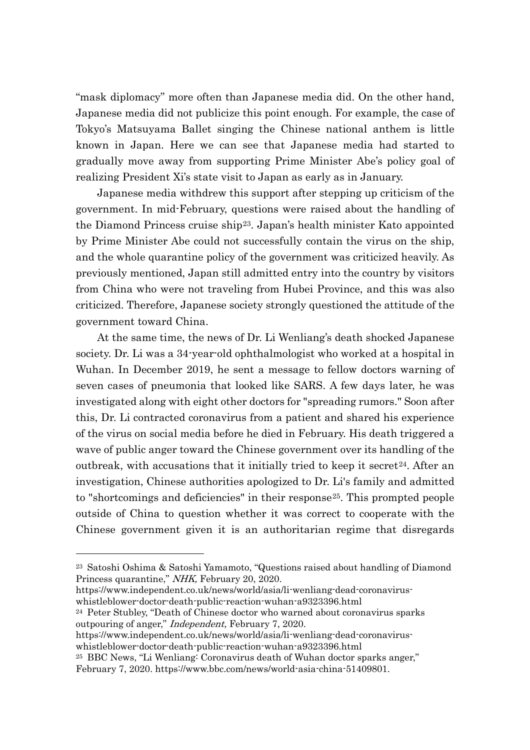"mask diplomacy" more often than Japanese media did. On the other hand, Japanese media did not publicize this point enough. For example, the case of Tokyo's Matsuyama Ballet singing the Chinese national anthem is little known in Japan. Here we can see that Japanese media had started to gradually move away from supporting Prime Minister Abe's policy goal of realizing President Xi's state visit to Japan as early as in January.

Japanese media withdrew this support after stepping up criticism of the government. In mid-February, questions were raised about the handling of the Diamond Princess cruise ship[23.](#page-7-0) Japan's health minister Kato appointed by Prime Minister Abe could not successfully contain the virus on the ship, and the whole quarantine policy of the government was criticized heavily. As previously mentioned, Japan still admitted entry into the country by visitors from China who were not traveling from Hubei Province, and this was also criticized. Therefore, Japanese society strongly questioned the attitude of the government toward China.

At the same time, the news of Dr. Li Wenliang's death shocked Japanese society. Dr. Li was a 34-year-old ophthalmologist who worked at a hospital in Wuhan. In December 2019, he sent a message to fellow doctors warning of seven cases of pneumonia that looked like SARS. A few days later, he was investigated along with eight other doctors for "spreading rumors." Soon after this, Dr. Li contracted coronavirus from a patient and shared his experience of the virus on social media before he died in February. His death triggered a wave of public anger toward the Chinese government over its handling of the outbreak, with accusations that it initially tried to keep it secret<sup>24</sup>. After an investigation, Chinese authorities apologized to Dr. Li's family and admitted to "shortcomings and deficiencies" in their response[25](#page-7-2). This prompted people outside of China to question whether it was correct to cooperate with the Chinese government given it is an authoritarian regime that disregards

https://www.independent.co.uk/news/world/asia/li-wenliang-dead-coronaviruswhistleblower-doctor-death-public-reaction-wuhan-a9323396.html

<span id="page-7-0"></span><sup>23</sup> Satoshi Oshima & Satoshi Yamamoto, "Questions raised about handling of Diamond Princess quarantine," NHK, February 20, 2020.

<span id="page-7-1"></span><sup>24</sup> Peter Stubley, "Death of Chinese doctor who warned about coronavirus sparks outpouring of anger," Independent, February 7, 2020.

https://www.independent.co.uk/news/world/asia/li-wenliang-dead-coronaviruswhistleblower-doctor-death-public-reaction-wuhan-a9323396.html

<span id="page-7-2"></span><sup>25</sup> BBC News, "Li Wenliang: Coronavirus death of Wuhan doctor sparks anger," February 7, 2020. [https://www.bbc.com/news/world-asia-china-51409801.](https://www.bbc.com/news/world-asia-china-51409801)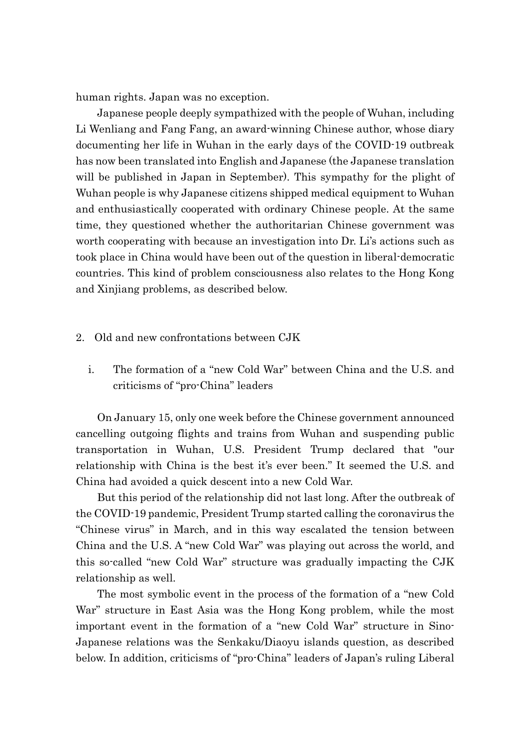human rights. Japan was no exception.

Japanese people deeply sympathized with the people of Wuhan, including Li Wenliang and Fang Fang, an award-winning Chinese author, whose diary documenting her life in Wuhan in the early days of the COVID-19 outbreak has now been translated into English and Japanese (the Japanese translation will be published in Japan in September). This sympathy for the plight of Wuhan people is why Japanese citizens shipped medical equipment to Wuhan and enthusiastically cooperated with ordinary Chinese people. At the same time, they questioned whether the authoritarian Chinese government was worth cooperating with because an investigation into Dr. Li's actions such as took place in China would have been out of the question in liberal-democratic countries. This kind of problem consciousness also relates to the Hong Kong and Xinjiang problems, as described below.

#### 2. Old and new confrontations between CJK

i. The formation of a "new Cold War" between China and the U.S. and criticisms of "pro-China" leaders

 On January 15, only one week before the Chinese government announced cancelling outgoing flights and trains from Wuhan and suspending public transportation in Wuhan, U.S. President Trump declared that "our relationship with China is the best it's ever been." It seemed the U.S. and China had avoided a quick descent into a new Cold War.

But this period of the relationship did not last long. After the outbreak of the COVID-19 pandemic, President Trump started calling the coronavirus the "Chinese virus" in March, and in this way escalated the tension between China and the U.S. A "new Cold War" was playing out across the world, and this so-called "new Cold War" structure was gradually impacting the CJK relationship as well.

The most symbolic event in the process of the formation of a "new Cold War" structure in East Asia was the Hong Kong problem, while the most important event in the formation of a "new Cold War" structure in Sino-Japanese relations was the Senkaku/Diaoyu islands question, as described below. In addition, criticisms of "pro-China" leaders of Japan's ruling Liberal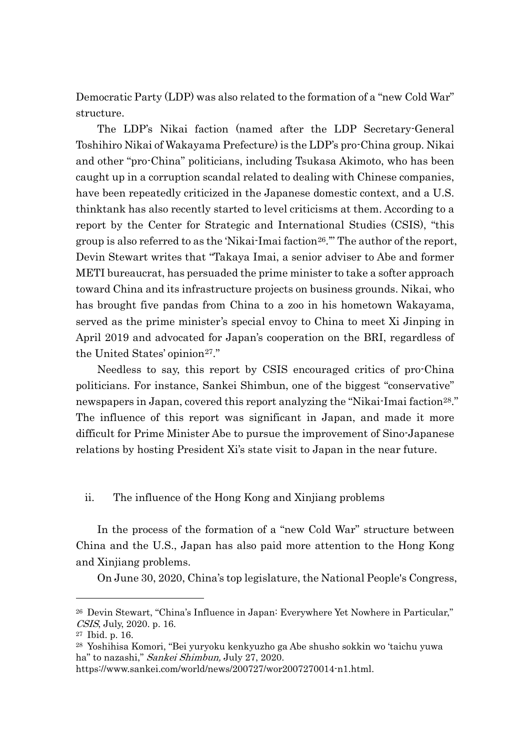Democratic Party (LDP) was also related to the formation of a "new Cold War" structure.

The LDP's Nikai faction (named after the LDP Secretary-General Toshihiro Nikai of Wakayama Prefecture) is the LDP's pro-China group. Nikai and other "pro-China" politicians, including Tsukasa Akimoto, who has been caught up in a corruption scandal related to dealing with Chinese companies, have been repeatedly criticized in the Japanese domestic context, and a U.S. thinktank has also recently started to level criticisms at them. According to a report by the Center for Strategic and International Studies (CSIS), "this group is also referred to as the 'Nikai-Imai faction<sup>26</sup>." The author of the report, Devin Stewart writes that "Takaya Imai, a senior adviser to Abe and former METI bureaucrat, has persuaded the prime minister to take a softer approach toward China and its infrastructure projects on business grounds. Nikai, who has brought five pandas from China to a zoo in his hometown Wakayama, served as the prime minister's special envoy to China to meet Xi Jinping in April 2019 and advocated for Japan's cooperation on the BRI, regardless of the United States' opinion<sup>27</sup>."

Needless to say, this report by CSIS encouraged critics of pro-China politicians. For instance, Sankei Shimbun, one of the biggest "conservative" newspapers in Japan, covered this report analyzing the "Nikai-Imai faction<sup>28</sup>." The influence of this report was significant in Japan, and made it more difficult for Prime Minister Abe to pursue the improvement of Sino-Japanese relations by hosting President Xi's state visit to Japan in the near future.

### ii. The influence of the Hong Kong and Xinjiang problems

In the process of the formation of a "new Cold War" structure between China and the U.S., Japan has also paid more attention to the Hong Kong and Xinjiang problems.

On June 30, 2020, China's top legislature, the National People's Congress,

<span id="page-9-0"></span><sup>26</sup> Devin Stewart, "China's Influence in Japan: Everywhere Yet Nowhere in Particular," CSIS, July, 2020. p. 16.

<span id="page-9-1"></span><sup>27</sup> Ibid. p. 16.

<span id="page-9-2"></span><sup>28</sup> Yoshihisa Komori, "Bei yuryoku kenkyuzho ga Abe shusho sokkin wo 'taichu yuwa ha" to nazashi," Sankei Shimbun, July 27, 2020.

https://www.sankei.com/world/news/200727/wor2007270014-n1.html.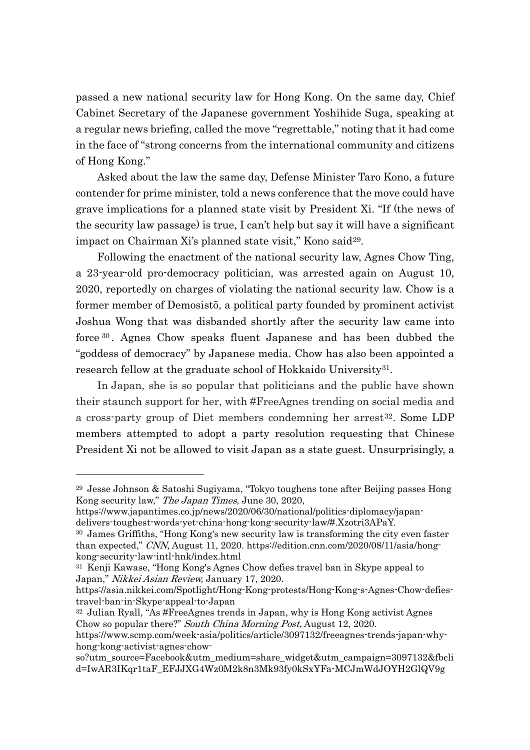passed a new national security law for Hong Kong. On the same day, Chief Cabinet Secretary of the Japanese government Yoshihide Suga, speaking at a regular news briefing, called the move "regrettable," noting that it had come in the face of "strong concerns from the international community and citizens of Hong Kong."

Asked about the law the same day, Defense Minister Taro Kono, a future contender for prime minister, told a news conference that the move could have grave implications for a planned state visit by President Xi. "If (the news of the security law passage) is true, I can't help but say it will have a significant impact on Chairman Xi's planned state visit," Kono said<sup>[29](#page-10-0)</sup>.

Following the enactment of the national security law, Agnes Chow Ting, a 23-year-old pro-democracy politician, was arrested again on August 10, 2020, reportedly on charges of violating the national security law. Chow is a former member of Demosistō, a political party founded by prominent activist Joshua Wong that was disbanded shortly after the security law came into force [30](#page-10-1) . Agnes Chow speaks fluent Japanese and has been dubbed the "goddess of democracy" by Japanese media. Chow has also been appointed a research fellow at the graduate school of Hokkaido University<sup>31</sup>.

In [Japan,](https://www.scmp.com/topics/japan) she is so popular that politicians and the public have shown their staunch support for her, with #FreeAgnes trending on social media and a cross-party group of Diet members condemning her arrest<sup>[32](#page-10-3)</sup>. Some LDP members attempted to adopt a party resolution requesting that Chinese President Xi not be allowed to visit Japan as a state guest. Unsurprisingly, a

<span id="page-10-0"></span><sup>29</sup> Jesse Johnson & Satoshi Sugiyama, "Tokyo toughens tone after Beijing passes Hong Kong security law," The Japan Times, June 30, 2020,

https://www.japantimes.co.jp/news/2020/06/30/national/politics-diplomacy/japandelivers-toughest-words-yet-china-hong-kong-security-law/#.Xzotri3APaY.

<span id="page-10-1"></span><sup>30</sup> James Griffiths, "Hong Kong's new security law is transforming the city even faster than expected," CNN, August 11, 2020. https://edition.cnn.com/2020/08/11/asia/hongkong-security-law-intl-hnk/index.html

<span id="page-10-2"></span><sup>31</sup> Kenji Kawase, "Hong Kong's Agnes Chow defies travel ban in Skype appeal to Japan," Nikkei Asian Review, January 17, 2020.

https://asia.nikkei.com/Spotlight/Hong-Kong-protests/Hong-Kong-s-Agnes-Chow-defiestravel-ban-in-Skype-appeal-to-Japan

<span id="page-10-3"></span><sup>32</sup> Julian Ryall, "As #FreeAgnes trends in Japan, why is Hong Kong activist Agnes Chow so popular there?" South China Morning Post, August 12, 2020.

https://www.scmp.com/week-asia/politics/article/3097132/freeagnes-trends-japan-whyhong-kong-activist-agnes-chow-

so?utm\_source=Facebook&utm\_medium=share\_widget&utm\_campaign=3097132&fbcli d=IwAR3IKqr1taF\_EFJJXG4Wz0M2k8n3Mk93fy0kSxYFa-MCJmWdJOYH2GlQV9g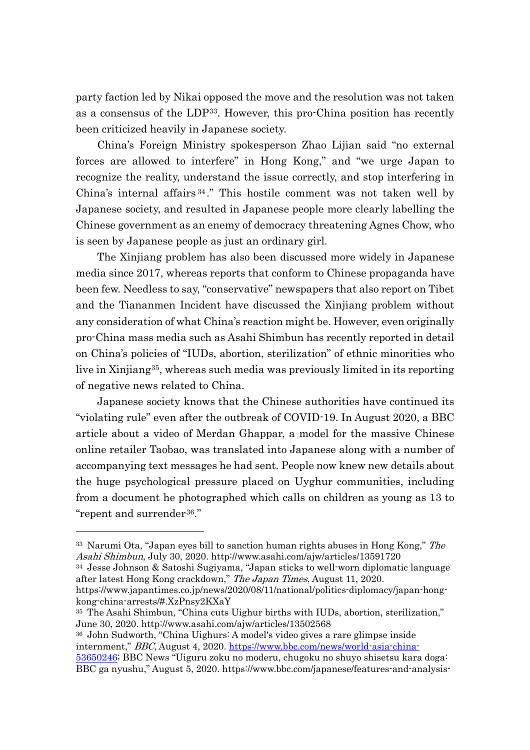party faction led by Nikai opposed the move and the resolution was not taken as a consensus of the LDP[33.](#page-11-0) However, this pro-China position has recently been criticized heavily in Japanese society.

China's Foreign Ministry spokesperson Zhao Lijian said "no external forces are allowed to interfere" in Hong Kong," and "we urge Japan to recognize the reality, understand the issue correctly, and stop interfering in China's internal affairs [34](#page-11-1) ." This hostile comment was not taken well by Japanese society, and resulted in Japanese people more clearly labelling the Chinese government as an enemy of democracy threatening Agnes Chow, who is seen by Japanese people as just an ordinary girl.

The Xinjiang problem has also been discussed more widely in Japanese media since 2017, whereas reports that conform to Chinese propaganda have been few. Needless to say, "conservative" newspapers that also report on Tibet and the Tiananmen Incident have discussed the Xinjiang problem without any consideration of what China's reaction might be. However, even originally pro-China mass media such as Asahi Shimbun has recently reported in detail on China's policies of "IUDs, abortion, sterilization" of ethnic minorities who live in Xinjiang[35,](#page-11-2) whereas such media was previously limited in its reporting of negative news related to China.

Japanese society knows that the Chinese authorities have continued its "violating rule" even after the outbreak of COVID-19. In August 2020, a BBC article about a video of Merdan Ghappar, a model for the massive Chinese online retailer Taobao, was translated into Japanese along with a number of accompanying text messages he had sent. People now knew new details about the huge psychological pressure placed on Uyghur communities, including from a document he photographed which calls on children as young as 13 to "repent and surrender<sup>[36](#page-11-3)</sup>."

<span id="page-11-3"></span><sup>36</sup> John Sudworth, "China Uighurs: A model's video gives a rare glimpse inside internment," BBC, August 4, 2020. [https://www.bbc.com/news/world-asia-china-](https://www.bbc.com/news/world-asia-china-53650246)

<span id="page-11-0"></span><sup>&</sup>lt;sup>33</sup> Narumi Ota, "Japan eyes bill to sanction human rights abuses in Hong Kong," The Asahi Shimbun, July 30, 2020. http://www.asahi.com/ajw/articles/13591720

<span id="page-11-1"></span><sup>34</sup> Jesse Johnson & Satoshi Sugiyama, "Japan sticks to well-worn diplomatic language after latest Hong Kong crackdown," The Japan Times, August 11, 2020.

https://www.japantimes.co.jp/news/2020/08/11/national/politics-diplomacy/japan-hongkong-china-arrests/#.XzPnsy2KXaY

<span id="page-11-2"></span><sup>35</sup> The Asahi Shimbun, "China cuts Uighur births with IUDs, abortion, sterilization," June 30, 2020. http://www.asahi.com/ajw/articles/13502568

[<sup>53650246;</sup>](https://www.bbc.com/news/world-asia-china-53650246) BBC News "Uiguru zoku no moderu, chugoku no shuyo shisetsu kara doga: BBC ga nyushu," August 5, 2020. https://www.bbc.com/japanese/features-and-analysis-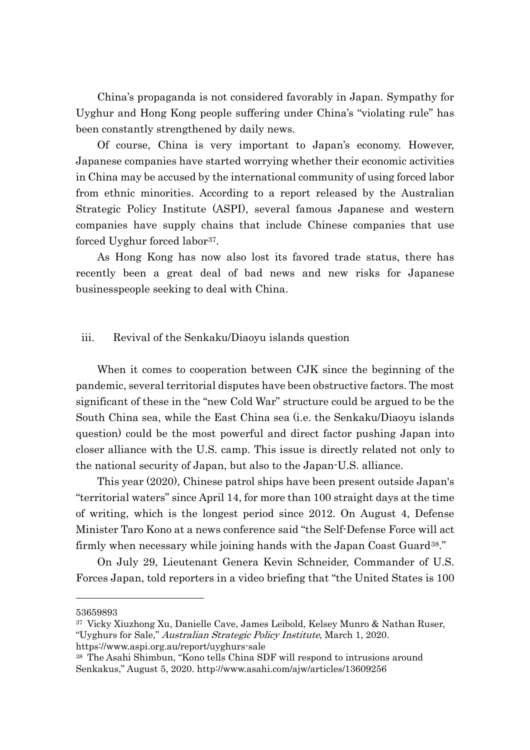China's propaganda is not considered favorably in Japan. Sympathy for Uyghur and Hong Kong people suffering under China's "violating rule" has been constantly strengthened by daily news.

Of course, China is very important to Japan's economy. However, Japanese companies have started worrying whether their economic activities in China may be accused by the international community of using forced labor from ethnic minorities. According to a report released by the Australian Strategic Policy Institute (ASPI), several famous Japanese and western companies have supply chains that include Chinese companies that use forced Uyghur forced labor<sup>37</sup>.

As Hong Kong has now also lost its favored trade status, there has recently been a great deal of bad news and new risks for Japanese businesspeople seeking to deal with China.

#### iii. Revival of the Senkaku/Diaoyu islands question

 When it comes to cooperation between CJK since the beginning of the pandemic, several territorial disputes have been obstructive factors. The most significant of these in the "new Cold War" structure could be argued to be the South China sea, while the East China sea (i.e. the Senkaku/Diaoyu islands question) could be the most powerful and direct factor pushing Japan into closer alliance with the U.S. camp. This issue is directly related not only to the national security of Japan, but also to the Japan-U.S. alliance.

This year (2020), Chinese patrol ships have been present outside Japan's "territorial waters" since April 14, for more than 100 straight days at the time of writing, which is the longest period since 2012. On August 4, Defense Minister Taro Kono at a news conference said "the Self-Defense Force will act firmly when necessary while joining hands with the Japan Coast Guard<sup>38</sup>."

On July 29, Lieutenant Genera Kevin Schneider, Commander of U.S. Forces Japan, told reporters in a video briefing that "the United States is 100

53659893

<span id="page-12-0"></span><sup>37</sup> Vicky Xiuzhong Xu, Danielle Cave, James Leibold, Kelsey Munro & Nathan Ruser, "Uyghurs for Sale," Australian Strategic Policy Institute, March 1, 2020. https://www.aspi.org.au/report/uyghurs-sale

<span id="page-12-1"></span><sup>38</sup> The Asahi Shimbun, "Kono tells China SDF will respond to intrusions around Senkakus," August 5, 2020. http://www.asahi.com/ajw/articles/13609256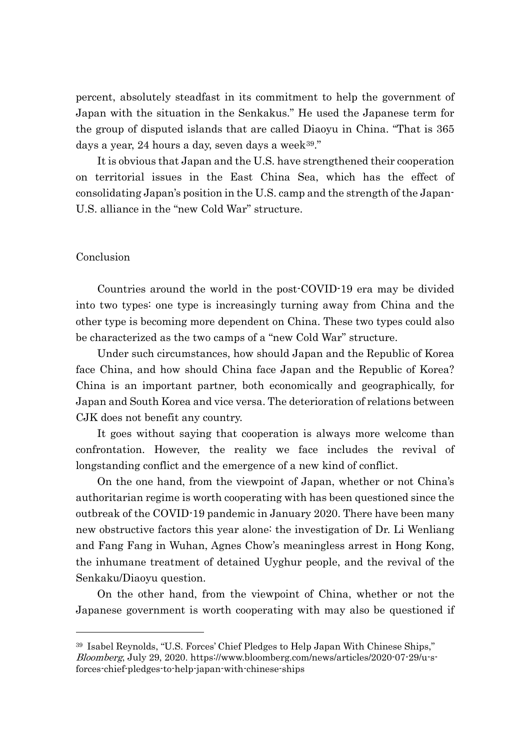percent, absolutely steadfast in its commitment to help the government of Japan with the situation in the Senkakus." He used the Japanese term for the group of disputed islands that are called Diaoyu in China. "That is 365 days a year, 24 hours a day, seven days a week<sup>39</sup>."

It is obvious that Japan and the U.S. have strengthened their cooperation on territorial issues in the East China Sea, which has the effect of consolidating Japan's position in the U.S. camp and the strength of the Japan-U.S. alliance in the "new Cold War" structure.

#### Conclusion

Countries around the world in the post-COVID-19 era may be divided into two types: one type is increasingly turning away from China and the other type is becoming more dependent on China. These two types could also be characterized as the two camps of a "new Cold War" structure.

Under such circumstances, how should Japan and the Republic of Korea face China, and how should China face Japan and the Republic of Korea? China is an important partner, both economically and geographically, for Japan and South Korea and vice versa. The deterioration of relations between CJK does not benefit any country.

It goes without saying that cooperation is always more welcome than confrontation. However, the reality we face includes the revival of longstanding conflict and the emergence of a new kind of conflict.

On the one hand, from the viewpoint of Japan, whether or not China's authoritarian regime is worth cooperating with has been questioned since the outbreak of the COVID-19 pandemic in January 2020. There have been many new obstructive factors this year alone: the investigation of Dr. Li Wenliang and Fang Fang in Wuhan, Agnes Chow's meaningless arrest in Hong Kong, the inhumane treatment of detained Uyghur people, and the revival of the Senkaku/Diaoyu question.

On the other hand, from the viewpoint of China, whether or not the Japanese government is worth cooperating with may also be questioned if

<span id="page-13-0"></span><sup>39</sup> Isabel Reynolds, "U.S. Forces' Chief Pledges to Help Japan With Chinese Ships," Bloomberg, July 29, 2020. https://www.bloomberg.com/news/articles/2020-07-29/u-sforces-chief-pledges-to-help-japan-with-chinese-ships